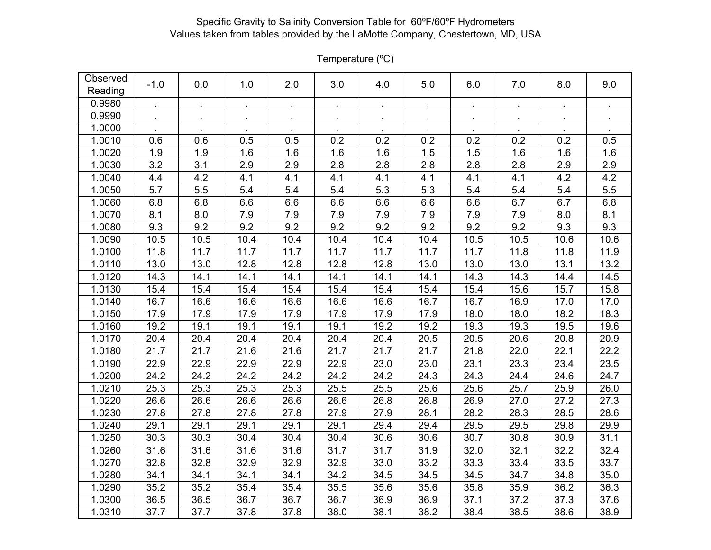| Observed<br>Reading | $-1.0$ | 0.0  | 1.0  | 2.0  | 3.0  | 4.0          | 5.0          | 6.0            | 7.0        | 8.0  | 9.0  |
|---------------------|--------|------|------|------|------|--------------|--------------|----------------|------------|------|------|
| 0.9980              |        |      |      |      |      |              | $\mathbf{r}$ | $\blacksquare$ | $\epsilon$ |      |      |
| 0.9990              |        |      |      |      |      | $\mathbf{r}$ | $\mathbf{r}$ | $\bullet$      | $\bullet$  |      |      |
| 1.0000              |        |      |      |      |      |              |              |                |            |      |      |
| 1.0010              | 0.6    | 0.6  | 0.5  | 0.5  | 0.2  | 0.2          | 0.2          | 0.2            | 0.2        | 0.2  | 0.5  |
| 1.0020              | 1.9    | 1.9  | 1.6  | 1.6  | 1.6  | 1.6          | 1.5          | 1.5            | 1.6        | 1.6  | 1.6  |
| 1.0030              | 3.2    | 3.1  | 2.9  | 2.9  | 2.8  | 2.8          | 2.8          | 2.8            | 2.8        | 2.9  | 2.9  |
| 1.0040              | 4.4    | 4.2  | 4.1  | 4.1  | 4.1  | 4.1          | 4.1          | 4.1            | 4.1        | 4.2  | 4.2  |
| 1.0050              | 5.7    | 5.5  | 5.4  | 5.4  | 5.4  | 5.3          | 5.3          | 5.4            | 5.4        | 5.4  | 5.5  |
| 1.0060              | 6.8    | 6.8  | 6.6  | 6.6  | 6.6  | 6.6          | 6.6          | 6.6            | 6.7        | 6.7  | 6.8  |
| 1.0070              | 8.1    | 8.0  | 7.9  | 7.9  | 7.9  | 7.9          | 7.9          | 7.9            | 7.9        | 8.0  | 8.1  |
| 1.0080              | 9.3    | 9.2  | 9.2  | 9.2  | 9.2  | 9.2          | 9.2          | 9.2            | 9.2        | 9.3  | 9.3  |
| 1.0090              | 10.5   | 10.5 | 10.4 | 10.4 | 10.4 | 10.4         | 10.4         | 10.5           | 10.5       | 10.6 | 10.6 |
| 1.0100              | 11.8   | 11.7 | 11.7 | 11.7 | 11.7 | 11.7         | 11.7         | 11.7           | 11.8       | 11.8 | 11.9 |
| 1.0110              | 13.0   | 13.0 | 12.8 | 12.8 | 12.8 | 12.8         | 13.0         | 13.0           | 13.0       | 13.1 | 13.2 |
| 1.0120              | 14.3   | 14.1 | 14.1 | 14.1 | 14.1 | 14.1         | 14.1         | 14.3           | 14.3       | 14.4 | 14.5 |
| 1.0130              | 15.4   | 15.4 | 15.4 | 15.4 | 15.4 | 15.4         | 15.4         | 15.4           | 15.6       | 15.7 | 15.8 |
| 1.0140              | 16.7   | 16.6 | 16.6 | 16.6 | 16.6 | 16.6         | 16.7         | 16.7           | 16.9       | 17.0 | 17.0 |
| 1.0150              | 17.9   | 17.9 | 17.9 | 17.9 | 17.9 | 17.9         | 17.9         | 18.0           | 18.0       | 18.2 | 18.3 |
| 1.0160              | 19.2   | 19.1 | 19.1 | 19.1 | 19.1 | 19.2         | 19.2         | 19.3           | 19.3       | 19.5 | 19.6 |
| 1.0170              | 20.4   | 20.4 | 20.4 | 20.4 | 20.4 | 20.4         | 20.5         | 20.5           | 20.6       | 20.8 | 20.9 |
| 1.0180              | 21.7   | 21.7 | 21.6 | 21.6 | 21.7 | 21.7         | 21.7         | 21.8           | 22.0       | 22.1 | 22.2 |
| 1.0190              | 22.9   | 22.9 | 22.9 | 22.9 | 22.9 | 23.0         | 23.0         | 23.1           | 23.3       | 23.4 | 23.5 |
| 1.0200              | 24.2   | 24.2 | 24.2 | 24.2 | 24.2 | 24.2         | 24.3         | 24.3           | 24.4       | 24.6 | 24.7 |
| 1.0210              | 25.3   | 25.3 | 25.3 | 25.3 | 25.5 | 25.5         | 25.6         | 25.6           | 25.7       | 25.9 | 26.0 |
| 1.0220              | 26.6   | 26.6 | 26.6 | 26.6 | 26.6 | 26.8         | 26.8         | 26.9           | 27.0       | 27.2 | 27.3 |
| 1.0230              | 27.8   | 27.8 | 27.8 | 27.8 | 27.9 | 27.9         | 28.1         | 28.2           | 28.3       | 28.5 | 28.6 |
| 1.0240              | 29.1   | 29.1 | 29.1 | 29.1 | 29.1 | 29.4         | 29.4         | 29.5           | 29.5       | 29.8 | 29.9 |
| 1.0250              | 30.3   | 30.3 | 30.4 | 30.4 | 30.4 | 30.6         | 30.6         | 30.7           | 30.8       | 30.9 | 31.1 |
| 1.0260              | 31.6   | 31.6 | 31.6 | 31.6 | 31.7 | 31.7         | 31.9         | 32.0           | 32.1       | 32.2 | 32.4 |
| 1.0270              | 32.8   | 32.8 | 32.9 | 32.9 | 32.9 | 33.0         | 33.2         | 33.3           | 33.4       | 33.5 | 33.7 |
| 1.0280              | 34.1   | 34.1 | 34.1 | 34.1 | 34.2 | 34.5         | 34.5         | 34.5           | 34.7       | 34.8 | 35.0 |
| 1.0290              | 35.2   | 35.2 | 35.4 | 35.4 | 35.5 | 35.6         | 35.6         | 35.8           | 35.9       | 36.2 | 36.3 |
| 1.0300              | 36.5   | 36.5 | 36.7 | 36.7 | 36.7 | 36.9         | 36.9         | 37.1           | 37.2       | 37.3 | 37.6 |
| 1.0310              | 37.7   | 37.7 | 37.8 | 37.8 | 38.0 | 38.1         | 38.2         | 38.4           | 38.5       | 38.6 | 38.9 |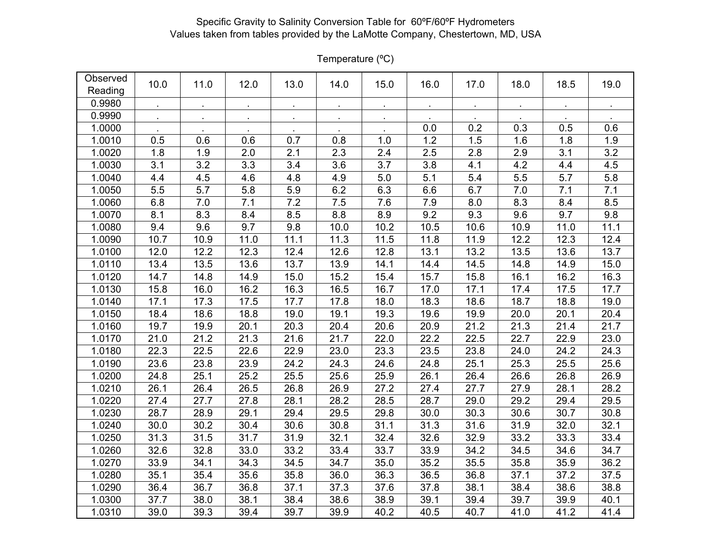| Observed<br>Reading | 10.0         | 11.0         | 12.0             | 13.0    | 14.0      | 15.0      | 16.0      | 17.0       | 18.0      | 18.5      | 19.0 |
|---------------------|--------------|--------------|------------------|---------|-----------|-----------|-----------|------------|-----------|-----------|------|
| 0.9980              | $\mathbf{r}$ | $\mathbf{r}$ | $\sim$           | $\sim$  | $\bullet$ | $\bullet$ | $\bullet$ | $\epsilon$ | $\bullet$ | $\bullet$ |      |
| 0.9990              |              | $\bullet$    | $\epsilon$       | $\cdot$ | $\bullet$ | $\bullet$ |           |            |           |           |      |
| 1.0000              |              |              |                  |         |           |           | 0.0       | 0.2        | 0.3       | 0.5       | 0.6  |
| 1.0010              | 0.5          | 0.6          | 0.6              | 0.7     | 0.8       | 1.0       | 1.2       | 1.5        | 1.6       | 1.8       | 1.9  |
| 1.0020              | 1.8          | 1.9          | 2.0              | 2.1     | 2.3       | 2.4       | 2.5       | 2.8        | 2.9       | 3.1       | 3.2  |
| 1.0030              | 3.1          | 3.2          | $\overline{3.3}$ | 3.4     | 3.6       | 3.7       | 3.8       | 4.1        | 4.2       | 4.4       | 4.5  |
| 1.0040              | 4.4          | 4.5          | 4.6              | 4.8     | 4.9       | 5.0       | 5.1       | 5.4        | 5.5       | 5.7       | 5.8  |
| 1.0050              | 5.5          | 5.7          | 5.8              | 5.9     | 6.2       | 6.3       | 6.6       | 6.7        | 7.0       | 7.1       | 7.1  |
| 1.0060              | 6.8          | 7.0          | 7.1              | 7.2     | 7.5       | 7.6       | 7.9       | 8.0        | 8.3       | 8.4       | 8.5  |
| 1.0070              | 8.1          | 8.3          | 8.4              | 8.5     | 8.8       | 8.9       | 9.2       | 9.3        | 9.6       | 9.7       | 9.8  |
| 1.0080              | 9.4          | 9.6          | 9.7              | 9.8     | 10.0      | 10.2      | 10.5      | 10.6       | 10.9      | 11.0      | 11.1 |
| 1.0090              | 10.7         | 10.9         | 11.0             | 11.1    | 11.3      | 11.5      | 11.8      | 11.9       | 12.2      | 12.3      | 12.4 |
| 1.0100              | 12.0         | 12.2         | 12.3             | 12.4    | 12.6      | 12.8      | 13.1      | 13.2       | 13.5      | 13.6      | 13.7 |
| 1.0110              | 13.4         | 13.5         | 13.6             | 13.7    | 13.9      | 14.1      | 14.4      | 14.5       | 14.8      | 14.9      | 15.0 |
| 1.0120              | 14.7         | 14.8         | 14.9             | 15.0    | 15.2      | 15.4      | 15.7      | 15.8       | 16.1      | 16.2      | 16.3 |
| 1.0130              | 15.8         | 16.0         | 16.2             | 16.3    | 16.5      | 16.7      | 17.0      | 17.1       | 17.4      | 17.5      | 17.7 |
| 1.0140              | 17.1         | 17.3         | 17.5             | 17.7    | 17.8      | 18.0      | 18.3      | 18.6       | 18.7      | 18.8      | 19.0 |
| 1.0150              | 18.4         | 18.6         | 18.8             | 19.0    | 19.1      | 19.3      | 19.6      | 19.9       | 20.0      | 20.1      | 20.4 |
| 1.0160              | 19.7         | 19.9         | 20.1             | 20.3    | 20.4      | 20.6      | 20.9      | 21.2       | 21.3      | 21.4      | 21.7 |
| 1.0170              | 21.0         | 21.2         | 21.3             | 21.6    | 21.7      | 22.0      | 22.2      | 22.5       | 22.7      | 22.9      | 23.0 |
| 1.0180              | 22.3         | 22.5         | 22.6             | 22.9    | 23.0      | 23.3      | 23.5      | 23.8       | 24.0      | 24.2      | 24.3 |
| 1.0190              | 23.6         | 23.8         | 23.9             | 24.2    | 24.3      | 24.6      | 24.8      | 25.1       | 25.3      | 25.5      | 25.6 |
| 1.0200              | 24.8         | 25.1         | 25.2             | 25.5    | 25.6      | 25.9      | 26.1      | 26.4       | 26.6      | 26.8      | 26.9 |
| 1.0210              | 26.1         | 26.4         | 26.5             | 26.8    | 26.9      | 27.2      | 27.4      | 27.7       | 27.9      | 28.1      | 28.2 |
| 1.0220              | 27.4         | 27.7         | 27.8             | 28.1    | 28.2      | 28.5      | 28.7      | 29.0       | 29.2      | 29.4      | 29.5 |
| 1.0230              | 28.7         | 28.9         | 29.1             | 29.4    | 29.5      | 29.8      | 30.0      | 30.3       | 30.6      | 30.7      | 30.8 |
| 1.0240              | 30.0         | 30.2         | 30.4             | 30.6    | 30.8      | 31.1      | 31.3      | 31.6       | 31.9      | 32.0      | 32.1 |
| 1.0250              | 31.3         | 31.5         | 31.7             | 31.9    | 32.1      | 32.4      | 32.6      | 32.9       | 33.2      | 33.3      | 33.4 |
| 1.0260              | 32.6         | 32.8         | 33.0             | 33.2    | 33.4      | 33.7      | 33.9      | 34.2       | 34.5      | 34.6      | 34.7 |
| 1.0270              | 33.9         | 34.1         | 34.3             | 34.5    | 34.7      | 35.0      | 35.2      | 35.5       | 35.8      | 35.9      | 36.2 |
| 1.0280              | 35.1         | 35.4         | 35.6             | 35.8    | 36.0      | 36.3      | 36.5      | 36.8       | 37.1      | 37.2      | 37.5 |
| 1.0290              | 36.4         | 36.7         | 36.8             | 37.1    | 37.3      | 37.6      | 37.8      | 38.1       | 38.4      | 38.6      | 38.8 |
| 1.0300              | 37.7         | 38.0         | 38.1             | 38.4    | 38.6      | 38.9      | 39.1      | 39.4       | 39.7      | 39.9      | 40.1 |
| 1.0310              | 39.0         | 39.3         | 39.4             | 39.7    | 39.9      | 40.2      | 40.5      | 40.7       | 41.0      | 41.2      | 41.4 |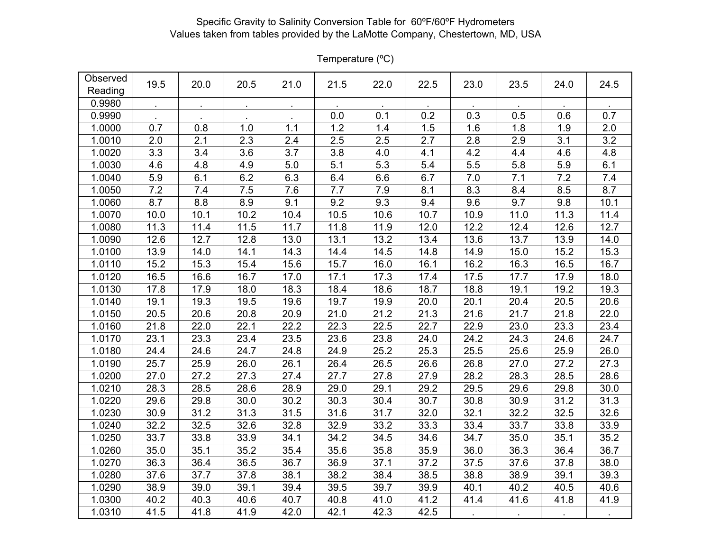| Observed<br>Reading | 19.5 | 20.0 | 20.5 | 21.0 | 21.5 | 22.0 | 22.5 | 23.0 | 23.5 | 24.0 | 24.5 |
|---------------------|------|------|------|------|------|------|------|------|------|------|------|
| 0.9980              |      |      |      |      |      |      |      |      |      |      |      |
| 0.9990              |      |      |      |      | 0.0  | 0.1  | 0.2  | 0.3  | 0.5  | 0.6  | 0.7  |
| 1.0000              | 0.7  | 0.8  | 1.0  | 1.1  | 1.2  | 1.4  | 1.5  | 1.6  | 1.8  | 1.9  | 2.0  |
| 1.0010              | 2.0  | 2.1  | 2.3  | 2.4  | 2.5  | 2.5  | 2.7  | 2.8  | 2.9  | 3.1  | 3.2  |
| 1.0020              | 3.3  | 3.4  | 3.6  | 3.7  | 3.8  | 4.0  | 4.1  | 4.2  | 4.4  | 4.6  | 4.8  |
| 1.0030              | 4.6  | 4.8  | 4.9  | 5.0  | 5.1  | 5.3  | 5.4  | 5.5  | 5.8  | 5.9  | 6.1  |
| 1.0040              | 5.9  | 6.1  | 6.2  | 6.3  | 6.4  | 6.6  | 6.7  | 7.0  | 7.1  | 7.2  | 7.4  |
| 1.0050              | 7.2  | 7.4  | 7.5  | 7.6  | 7.7  | 7.9  | 8.1  | 8.3  | 8.4  | 8.5  | 8.7  |
| 1.0060              | 8.7  | 8.8  | 8.9  | 9.1  | 9.2  | 9.3  | 9.4  | 9.6  | 9.7  | 9.8  | 10.1 |
| 1.0070              | 10.0 | 10.1 | 10.2 | 10.4 | 10.5 | 10.6 | 10.7 | 10.9 | 11.0 | 11.3 | 11.4 |
| 1.0080              | 11.3 | 11.4 | 11.5 | 11.7 | 11.8 | 11.9 | 12.0 | 12.2 | 12.4 | 12.6 | 12.7 |
| 1.0090              | 12.6 | 12.7 | 12.8 | 13.0 | 13.1 | 13.2 | 13.4 | 13.6 | 13.7 | 13.9 | 14.0 |
| 1.0100              | 13.9 | 14.0 | 14.1 | 14.3 | 14.4 | 14.5 | 14.8 | 14.9 | 15.0 | 15.2 | 15.3 |
| 1.0110              | 15.2 | 15.3 | 15.4 | 15.6 | 15.7 | 16.0 | 16.1 | 16.2 | 16.3 | 16.5 | 16.7 |
| 1.0120              | 16.5 | 16.6 | 16.7 | 17.0 | 17.1 | 17.3 | 17.4 | 17.5 | 17.7 | 17.9 | 18.0 |
| 1.0130              | 17.8 | 17.9 | 18.0 | 18.3 | 18.4 | 18.6 | 18.7 | 18.8 | 19.1 | 19.2 | 19.3 |
| 1.0140              | 19.1 | 19.3 | 19.5 | 19.6 | 19.7 | 19.9 | 20.0 | 20.1 | 20.4 | 20.5 | 20.6 |
| 1.0150              | 20.5 | 20.6 | 20.8 | 20.9 | 21.0 | 21.2 | 21.3 | 21.6 | 21.7 | 21.8 | 22.0 |
| 1.0160              | 21.8 | 22.0 | 22.1 | 22.2 | 22.3 | 22.5 | 22.7 | 22.9 | 23.0 | 23.3 | 23.4 |
| 1.0170              | 23.1 | 23.3 | 23.4 | 23.5 | 23.6 | 23.8 | 24.0 | 24.2 | 24.3 | 24.6 | 24.7 |
| 1.0180              | 24.4 | 24.6 | 24.7 | 24.8 | 24.9 | 25.2 | 25.3 | 25.5 | 25.6 | 25.9 | 26.0 |
| 1.0190              | 25.7 | 25.9 | 26.0 | 26.1 | 26.4 | 26.5 | 26.6 | 26.8 | 27.0 | 27.2 | 27.3 |
| 1.0200              | 27.0 | 27.2 | 27.3 | 27.4 | 27.7 | 27.8 | 27.9 | 28.2 | 28.3 | 28.5 | 28.6 |
| 1.0210              | 28.3 | 28.5 | 28.6 | 28.9 | 29.0 | 29.1 | 29.2 | 29.5 | 29.6 | 29.8 | 30.0 |
| 1.0220              | 29.6 | 29.8 | 30.0 | 30.2 | 30.3 | 30.4 | 30.7 | 30.8 | 30.9 | 31.2 | 31.3 |
| 1.0230              | 30.9 | 31.2 | 31.3 | 31.5 | 31.6 | 31.7 | 32.0 | 32.1 | 32.2 | 32.5 | 32.6 |
| 1.0240              | 32.2 | 32.5 | 32.6 | 32.8 | 32.9 | 33.2 | 33.3 | 33.4 | 33.7 | 33.8 | 33.9 |
| 1.0250              | 33.7 | 33.8 | 33.9 | 34.1 | 34.2 | 34.5 | 34.6 | 34.7 | 35.0 | 35.1 | 35.2 |
| 1.0260              | 35.0 | 35.1 | 35.2 | 35.4 | 35.6 | 35.8 | 35.9 | 36.0 | 36.3 | 36.4 | 36.7 |
| 1.0270              | 36.3 | 36.4 | 36.5 | 36.7 | 36.9 | 37.1 | 37.2 | 37.5 | 37.6 | 37.8 | 38.0 |
| 1.0280              | 37.6 | 37.7 | 37.8 | 38.1 | 38.2 | 38.4 | 38.5 | 38.8 | 38.9 | 39.1 | 39.3 |
| 1.0290              | 38.9 | 39.0 | 39.1 | 39.4 | 39.5 | 39.7 | 39.9 | 40.1 | 40.2 | 40.5 | 40.6 |
| 1.0300              | 40.2 | 40.3 | 40.6 | 40.7 | 40.8 | 41.0 | 41.2 | 41.4 | 41.6 | 41.8 | 41.9 |
| 1.0310              | 41.5 | 41.8 | 41.9 | 42.0 | 42.1 | 42.3 | 42.5 |      |      |      |      |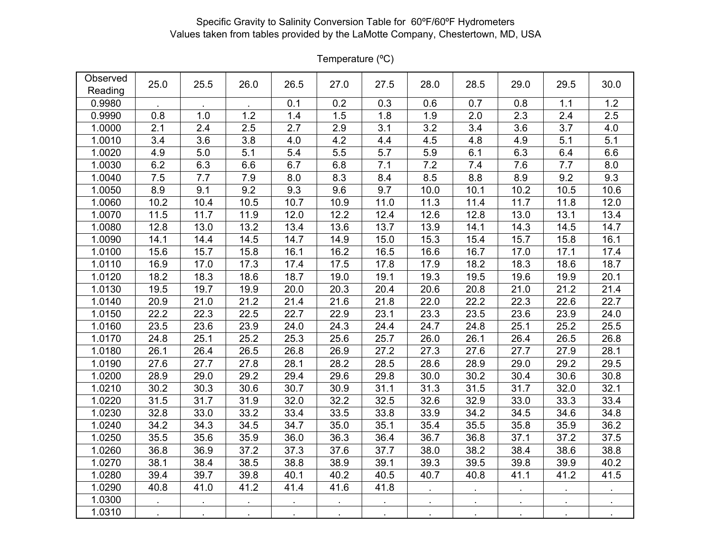| Observed<br>Reading | 25.0             | 25.5              | 26.0             | 26.5    | 27.0 | 27.5             | 28.0         | 28.5         | 29.0       | 29.5 | 30.0    |
|---------------------|------------------|-------------------|------------------|---------|------|------------------|--------------|--------------|------------|------|---------|
| 0.9980              |                  |                   |                  | 0.1     | 0.2  | 0.3              | 0.6          | 0.7          | 0.8        | 1.1  | 1.2     |
| 0.9990              | 0.8              | 1.0               | 1.2              | 1.4     | 1.5  | 1.8              | 1.9          | 2.0          | 2.3        | 2.4  | 2.5     |
| 1.0000              | 2.1              | 2.4               | 2.5              | 2.7     | 2.9  | 3.1              | 3.2          | 3.4          | 3.6        | 3.7  | 4.0     |
| 1.0010              | 3.4              | 3.6               | 3.8              | 4.0     | 4.2  | 4.4              | 4.5          | 4.8          | 4.9        | 5.1  | 5.1     |
| 1.0020              | $4.\overline{9}$ | 5.0               | $\overline{5.1}$ | 5.4     | 5.5  | $\overline{5.7}$ | 5.9          | 6.1          | 6.3        | 6.4  | 6.6     |
| 1.0030              | 6.2              | 6.3               | 6.6              | 6.7     | 6.8  | 7.1              | 7.2          | 7.4          | 7.6        | 7.7  | $8.0\,$ |
| 1.0040              | 7.5              | 7.7               | 7.9              | $8.0\,$ | 8.3  | 8.4              | 8.5          | 8.8          | 8.9        | 9.2  | 9.3     |
| 1.0050              | 8.9              | 9.1               | 9.2              | 9.3     | 9.6  | 9.7              | 10.0         | 10.1         | 10.2       | 10.5 | 10.6    |
| 1.0060              | 10.2             | 10.4              | 10.5             | 10.7    | 10.9 | 11.0             | 11.3         | 11.4         | 11.7       | 11.8 | 12.0    |
| 1.0070              | 11.5             | 11.7              | 11.9             | 12.0    | 12.2 | 12.4             | 12.6         | 12.8         | 13.0       | 13.1 | 13.4    |
| 1.0080              | 12.8             | 13.0              | 13.2             | 13.4    | 13.6 | 13.7             | 13.9         | 14.1         | 14.3       | 14.5 | 14.7    |
| 1.0090              | 14.1             | 14.4              | 14.5             | 14.7    | 14.9 | 15.0             | 15.3         | 15.4         | 15.7       | 15.8 | 16.1    |
| 1.0100              | 15.6             | 15.7              | 15.8             | 16.1    | 16.2 | 16.5             | 16.6         | 16.7         | 17.0       | 17.1 | 17.4    |
| 1.0110              | 16.9             | 17.0              | 17.3             | 17.4    | 17.5 | 17.8             | 17.9         | 18.2         | 18.3       | 18.6 | 18.7    |
| 1.0120              | 18.2             | 18.3              | 18.6             | 18.7    | 19.0 | 19.1             | 19.3         | 19.5         | 19.6       | 19.9 | 20.1    |
| 1.0130              | 19.5             | 19.7              | 19.9             | 20.0    | 20.3 | 20.4             | 20.6         | 20.8         | 21.0       | 21.2 | 21.4    |
| 1.0140              | 20.9             | 21.0              | 21.2             | 21.4    | 21.6 | 21.8             | 22.0         | 22.2         | 22.3       | 22.6 | 22.7    |
| 1.0150              | 22.2             | 22.3              | 22.5             | 22.7    | 22.9 | 23.1             | 23.3         | 23.5         | 23.6       | 23.9 | 24.0    |
| 1.0160              | 23.5             | 23.6              | 23.9             | 24.0    | 24.3 | 24.4             | 24.7         | 24.8         | 25.1       | 25.2 | 25.5    |
| 1.0170              | 24.8             | 25.1              | 25.2             | 25.3    | 25.6 | 25.7             | 26.0         | 26.1         | 26.4       | 26.5 | 26.8    |
| 1.0180              | 26.1             | 26.4              | 26.5             | 26.8    | 26.9 | 27.2             | 27.3         | 27.6         | 27.7       | 27.9 | 28.1    |
| 1.0190              | 27.6             | 27.7              | 27.8             | 28.1    | 28.2 | 28.5             | 28.6         | 28.9         | 29.0       | 29.2 | 29.5    |
| 1.0200              | 28.9             | 29.0              | 29.2             | 29.4    | 29.6 | 29.8             | 30.0         | 30.2         | 30.4       | 30.6 | 30.8    |
| 1.0210              | 30.2             | 30.3              | 30.6             | 30.7    | 30.9 | 31.1             | 31.3         | 31.5         | 31.7       | 32.0 | 32.1    |
| 1.0220              | 31.5             | $31.\overline{7}$ | 31.9             | 32.0    | 32.2 | 32.5             | 32.6         | 32.9         | 33.0       | 33.3 | 33.4    |
| 1.0230              | 32.8             | 33.0              | 33.2             | 33.4    | 33.5 | 33.8             | 33.9         | 34.2         | 34.5       | 34.6 | 34.8    |
| 1.0240              | 34.2             | 34.3              | 34.5             | 34.7    | 35.0 | 35.1             | 35.4         | 35.5         | 35.8       | 35.9 | 36.2    |
| 1.0250              | 35.5             | 35.6              | 35.9             | 36.0    | 36.3 | 36.4             | 36.7         | 36.8         | 37.1       | 37.2 | 37.5    |
| 1.0260              | 36.8             | 36.9              | 37.2             | 37.3    | 37.6 | 37.7             | 38.0         | 38.2         | 38.4       | 38.6 | 38.8    |
| 1.0270              | 38.1             | 38.4              | 38.5             | 38.8    | 38.9 | 39.1             | 39.3         | 39.5         | 39.8       | 39.9 | 40.2    |
| 1.0280              | 39.4             | 39.7              | 39.8             | 40.1    | 40.2 | 40.5             | 40.7         | 40.8         | 41.1       | 41.2 | 41.5    |
| 1.0290              | 40.8             | 41.0              | 41.2             | 41.4    | 41.6 | 41.8             | $\mathbf{r}$ | $\mathbf{r}$ | $\epsilon$ |      |         |
| 1.0300              |                  |                   |                  |         |      |                  |              |              |            |      |         |
| 1.0310              |                  |                   |                  |         |      |                  |              |              |            |      |         |